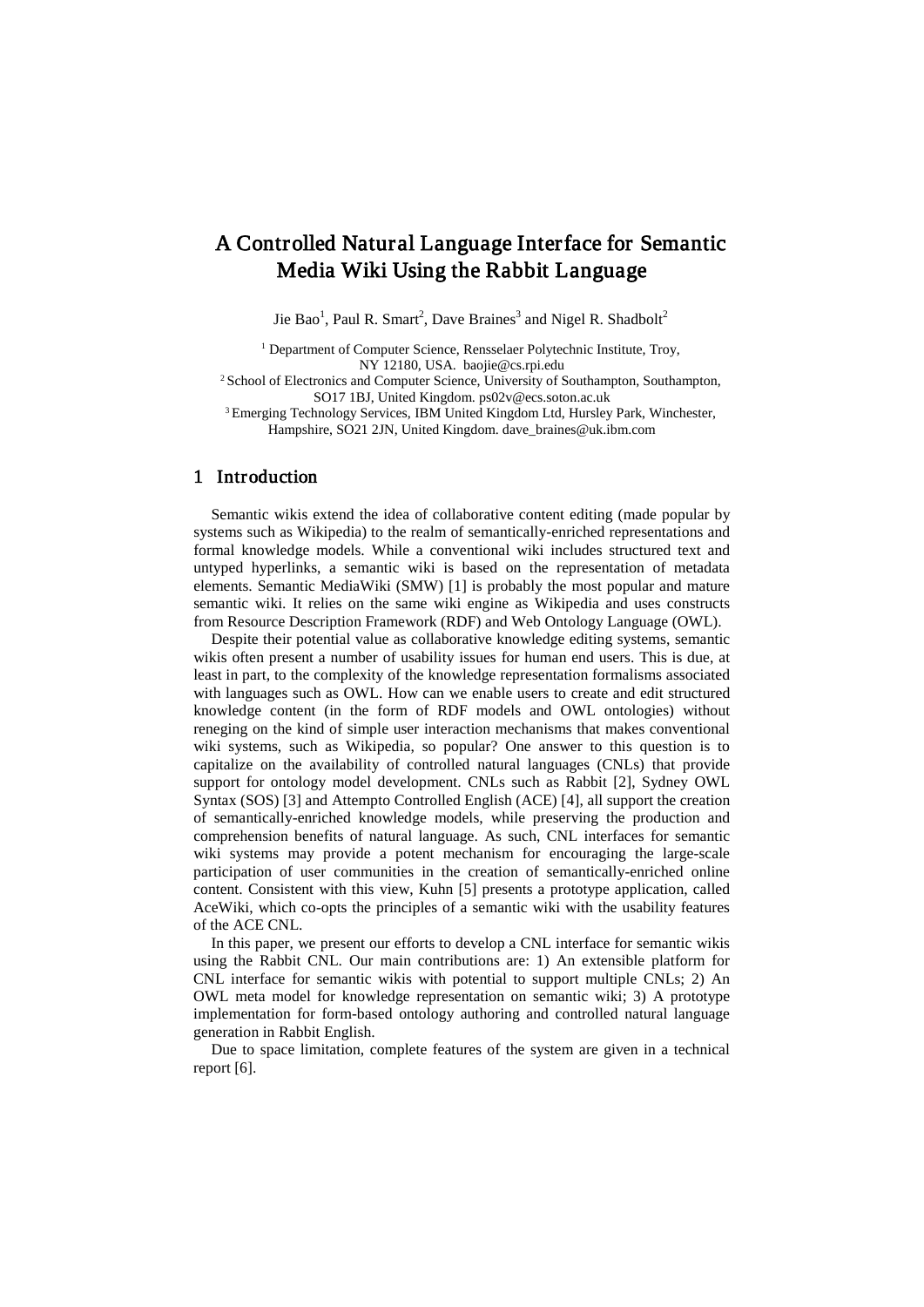# A Controlled Natural Language Interface for Semantic Media Wiki Using the Rabbit Language

Jie Bao<sup>1</sup>, Paul R. Smart<sup>2</sup>, Dave Braines<sup>3</sup> and Nigel R. Shadbolt<sup>2</sup>

<sup>1</sup> Department of Computer Science, Rensselaer Polytechnic Institute, Troy, NY 12180, USA. baojie@cs.rpi.edu

2 School of Electronics and Computer Science, University of Southampton, Southampton, SO17 1BJ, United Kingdom. ps02v@ecs.soton.ac.uk

3 Emerging Technology Services, IBM United Kingdom Ltd, Hursley Park, Winchester, Hampshire, SO21 2JN, United Kingdom. dave\_braines@uk.ibm.com

#### 1 Introduction

Semantic wikis extend the idea of collaborative content editing (made popular by systems such as Wikipedia) to the realm of semantically-enriched representations and formal knowledge models. While a conventional wiki includes structured text and untyped hyperlinks, a semantic wiki is based on the representation of metadata elements. Semantic MediaWiki (SMW) [1] is probably the most popular and mature semantic wiki. It relies on the same wiki engine as Wikipedia and uses constructs from Resource Description Framework (RDF) and Web Ontology Language (OWL).

Despite their potential value as collaborative knowledge editing systems, semantic wikis often present a number of usability issues for human end users. This is due, at least in part, to the complexity of the knowledge representation formalisms associated with languages such as OWL. How can we enable users to create and edit structured knowledge content (in the form of RDF models and OWL ontologies) without reneging on the kind of simple user interaction mechanisms that makes conventional wiki systems, such as Wikipedia, so popular? One answer to this question is to capitalize on the availability of controlled natural languages (CNLs) that provide support for ontology model development. CNLs such as Rabbit [2], Sydney OWL Syntax (SOS) [3] and Attempto Controlled English (ACE) [4], all support the creation of semantically-enriched knowledge models, while preserving the production and comprehension benefits of natural language. As such, CNL interfaces for semantic wiki systems may provide a potent mechanism for encouraging the large-scale participation of user communities in the creation of semantically-enriched online content. Consistent with this view, Kuhn [5] presents a prototype application, called AceWiki, which co-opts the principles of a semantic wiki with the usability features of the ACE CNL.

In this paper, we present our efforts to develop a CNL interface for semantic wikis using the Rabbit CNL. Our main contributions are: 1) An extensible platform for CNL interface for semantic wikis with potential to support multiple CNLs; 2) An OWL meta model for knowledge representation on semantic wiki; 3) A prototype implementation for form-based ontology authoring and controlled natural language generation in Rabbit English.

Due to space limitation, complete features of the system are given in a technical report [6].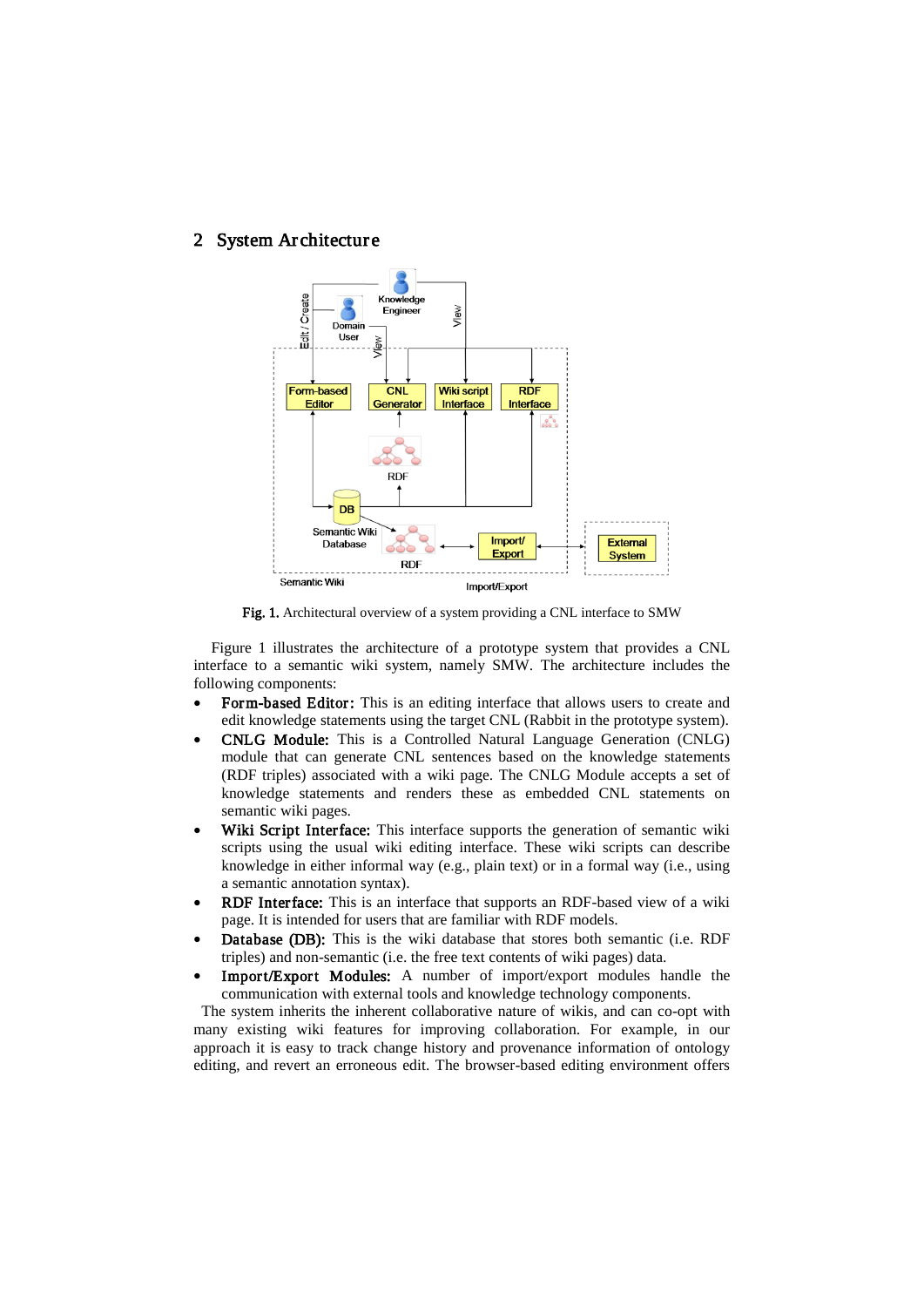#### 2 System Architecture



Fig. 1. Architectural overview of a system providing a CNL interface to SMW

Figure 1 illustrates the architecture of a prototype system that provides a CNL interface to a semantic wiki system, namely SMW. The architecture includes the following components:

- Form-based Editor: This is an editing interface that allows users to create and edit knowledge statements using the target CNL (Rabbit in the prototype system).
- CNLG Module: This is a Controlled Natural Language Generation (CNLG) module that can generate CNL sentences based on the knowledge statements (RDF triples) associated with a wiki page. The CNLG Module accepts a set of knowledge statements and renders these as embedded CNL statements on semantic wiki pages.
- Wiki Script Interface: This interface supports the generation of semantic wiki scripts using the usual wiki editing interface. These wiki scripts can describe knowledge in either informal way (e.g., plain text) or in a formal way (i.e., using a semantic annotation syntax).
- RDF Interface: This is an interface that supports an RDF-based view of a wiki page. It is intended for users that are familiar with RDF models.
- Database (DB): This is the wiki database that stores both semantic (i.e. RDF triples) and non-semantic (i.e. the free text contents of wiki pages) data.
- Import/Export Modules: A number of import/export modules handle the communication with external tools and knowledge technology components.

 The system inherits the inherent collaborative nature of wikis, and can co-opt with many existing wiki features for improving collaboration. For example, in our approach it is easy to track change history and provenance information of ontology editing, and revert an erroneous edit. The browser-based editing environment offers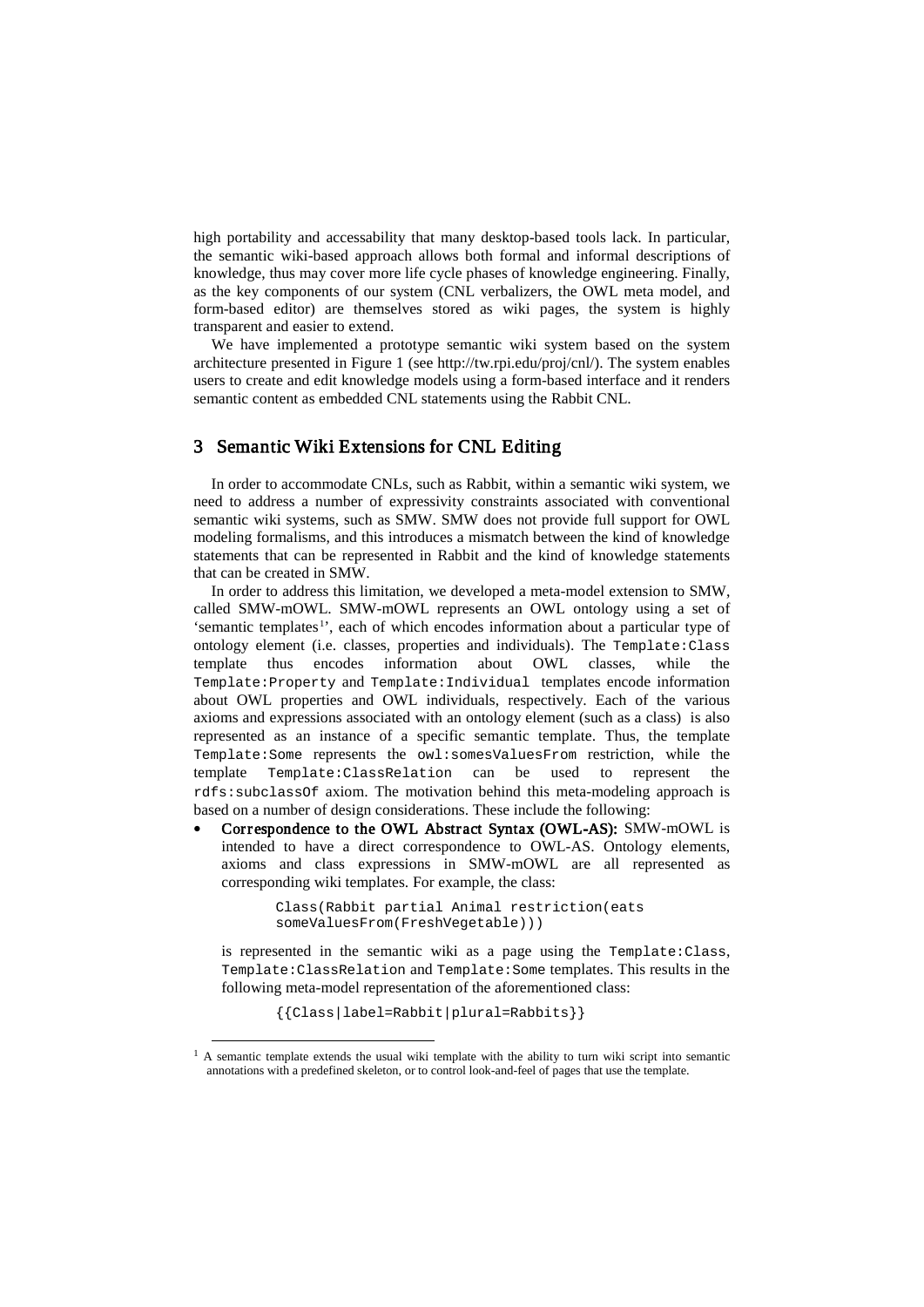high portability and accessability that many desktop-based tools lack. In particular, the semantic wiki-based approach allows both formal and informal descriptions of knowledge, thus may cover more life cycle phases of knowledge engineering. Finally, as the key components of our system (CNL verbalizers, the OWL meta model, and form-based editor) are themselves stored as wiki pages, the system is highly transparent and easier to extend.

We have implemented a prototype semantic wiki system based on the system architecture presented in Figure 1 (see http://tw.rpi.edu/proj/cnl/). The system enables users to create and edit knowledge models using a form-based interface and it renders semantic content as embedded CNL statements using the Rabbit CNL.

### 3 Semantic Wiki Extensions for CNL Editing

In order to accommodate CNLs, such as Rabbit, within a semantic wiki system, we need to address a number of expressivity constraints associated with conventional semantic wiki systems, such as SMW. SMW does not provide full support for OWL modeling formalisms, and this introduces a mismatch between the kind of knowledge statements that can be represented in Rabbit and the kind of knowledge statements that can be created in SMW.

In order to address this limitation, we developed a meta-model extension to SMW, called SMW-mOWL. SMW-mOWL represents an OWL ontology using a set of 'semantic templates<sup>[1](#page-2-0)</sup>', each of which encodes information about a particular type of ontology element (i.e. classes, properties and individuals). The Template:Class<br>template thus encodes information about OWL classes, while the about OWL classes, Template:Property and Template:Individual templates encode information about OWL properties and OWL individuals, respectively. Each of the various axioms and expressions associated with an ontology element (such as a class) is also represented as an instance of a specific semantic template. Thus, the template Template: Some represents the owl: some sValuesFrom restriction, while the template Template: ClassRelation can be used to represent the Template:ClassRelation can rdfs:subclassOf axiom. The motivation behind this meta-modeling approach is based on a number of design considerations. These include the following:

• Correspondence to the OWL Abstract Syntax (OWL-AS): SMW-mOWL is intended to have a direct correspondence to OWL-AS. Ontology elements, axioms and class expressions in SMW-mOWL are all represented as corresponding wiki templates. For example, the class:

> Class(Rabbit partial Animal restriction(eats someValuesFrom(FreshVegetable)))

is represented in the semantic wiki as a page using the Template:Class, Template:ClassRelation and Template:Some templates. This results in the following meta-model representation of the aforementioned class:

{{Class|label=Rabbit|plural=Rabbits}}

<span id="page-2-0"></span><sup>&</sup>lt;sup>1</sup> A semantic template extends the usual wiki template with the ability to turn wiki script into semantic annotations with a predefined skeleton, or to control look-and-feel of pages that use the template.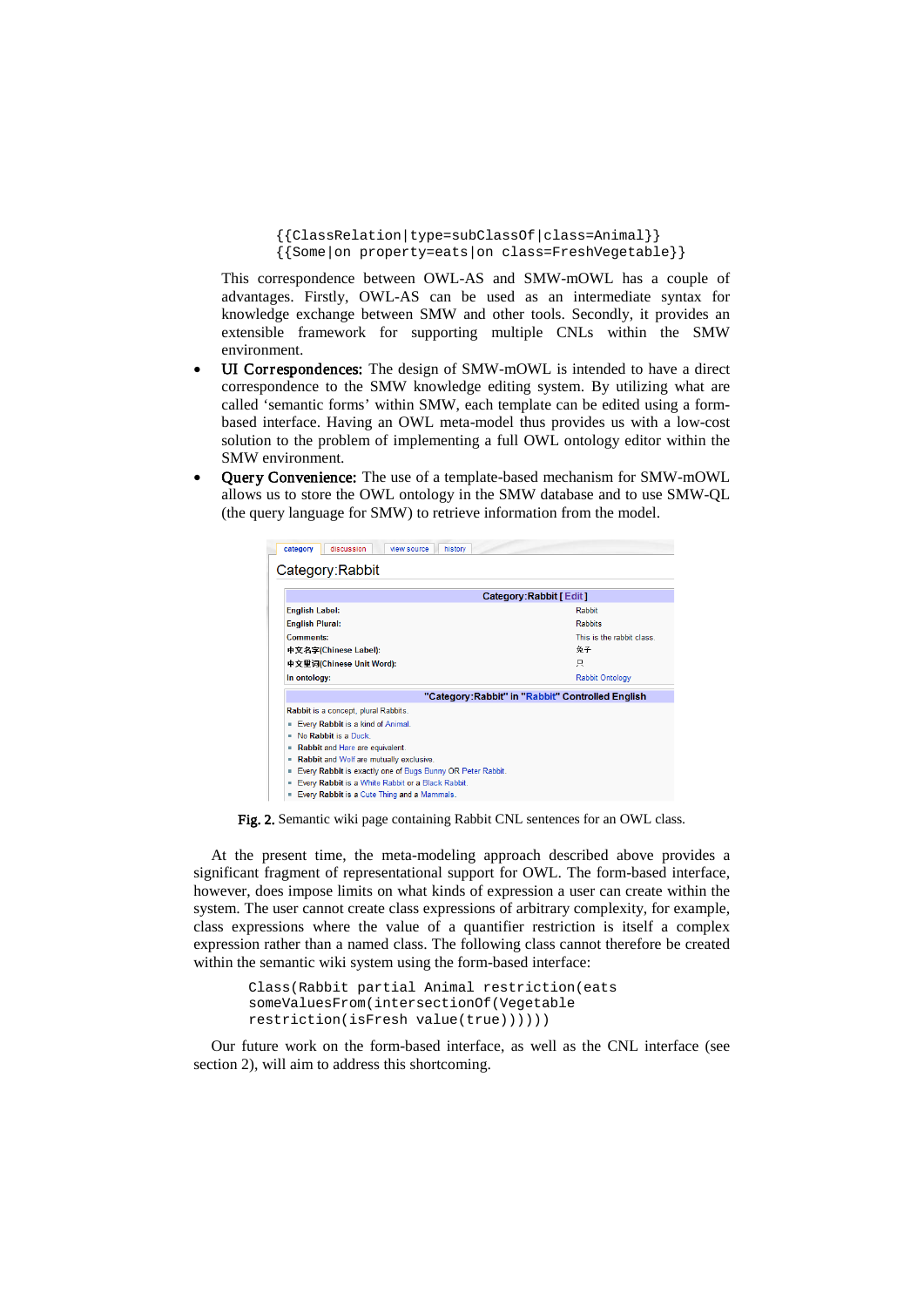```
{{ClassRelation|type=subClassOf|class=Animal}}
{{Some|on property=eats|on class=FreshVegetable}}
```
This correspondence between OWL-AS and SMW-mOWL has a couple of advantages. Firstly, OWL-AS can be used as an intermediate syntax for knowledge exchange between SMW and other tools. Secondly, it provides an extensible framework for supporting multiple CNLs within the SMW environment.

- UI Correspondences: The design of SMW-mOWL is intended to have a direct correspondence to the SMW knowledge editing system. By utilizing what are called 'semantic forms' within SMW, each template can be edited using a formbased interface. Having an OWL meta-model thus provides us with a low-cost solution to the problem of implementing a full OWL ontology editor within the SMW environment.
- Query Convenience: The use of a template-based mechanism for SMW-mOWL allows us to store the OWL ontology in the SMW database and to use SMW-QL (the query language for SMW) to retrieve information from the model.

| discussion<br>history<br>category<br>view source                                                                          |                                                  |
|---------------------------------------------------------------------------------------------------------------------------|--------------------------------------------------|
| Category:Rabbit                                                                                                           |                                                  |
|                                                                                                                           | Category:Rabbit [ Edit ]                         |
| <b>English Label:</b>                                                                                                     | Rabbit                                           |
| <b>English Plural:</b>                                                                                                    | Rabbits                                          |
| Comments:                                                                                                                 | This is the rabbit class.                        |
| 中文名字(Chinese Label):                                                                                                      | 免子                                               |
| 中文里词(Chinese Unit Word):                                                                                                  | 只                                                |
| In ontology:                                                                                                              | <b>Rabbit Ontology</b>                           |
|                                                                                                                           | "Category:Rabbit" in "Rabbit" Controlled English |
| Rabbit is a concept, plural Rabbits.                                                                                      |                                                  |
| Every Rabbit is a kind of Animal.<br>٠                                                                                    |                                                  |
| No Rabbit is a Duck.<br>٠                                                                                                 |                                                  |
| Rabbit and Hare are equivalent.<br>٠                                                                                      |                                                  |
| Rabbit and Wolf are mutually exclusive.<br>٠                                                                              |                                                  |
| Every Rabbit is exactly one of Bugs Bunny OR Peter Rabbit.<br>۰<br>Every Rabbit is a White Rabbit or a Black Rabbit.<br>٠ |                                                  |
| Every Rabbit is a Cute Thing and a Mammals.<br>٠                                                                          |                                                  |
|                                                                                                                           |                                                  |

Fig. 2. Semantic wiki page containing Rabbit CNL sentences for an OWL class.

At the present time, the meta-modeling approach described above provides a significant fragment of representational support for OWL. The form-based interface, however, does impose limits on what kinds of expression a user can create within the system. The user cannot create class expressions of arbitrary complexity, for example, class expressions where the value of a quantifier restriction is itself a complex expression rather than a named class. The following class cannot therefore be created within the semantic wiki system using the form-based interface:

> Class(Rabbit partial Animal restriction(eats someValuesFrom(intersectionOf(Vegetable restriction(isFresh value(true))))))

Our future work on the form-based interface, as well as the CNL interface (see section 2), will aim to address this shortcoming.